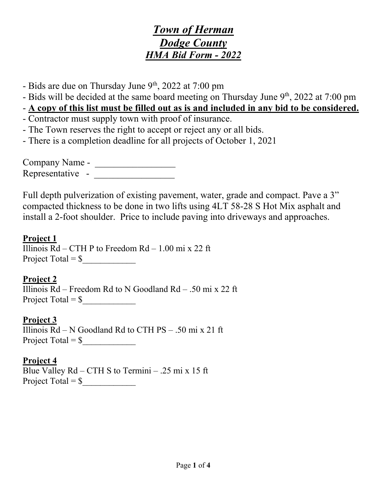- Bids are due on Thursday June 9<sup>th</sup>, 2022 at 7:00 pm
- Bids will be decided at the same board meeting on Thursday June  $9<sup>th</sup>$ , 2022 at 7:00 pm

# - **A copy of this list must be filled out as is and included in any bid to be considered.**

- Contractor must supply town with proof of insurance.
- The Town reserves the right to accept or reject any or all bids.
- There is a completion deadline for all projects of October 1, 2021

Company Name - \_\_\_\_\_\_\_\_\_\_\_\_\_\_\_\_\_ Representative - \_\_\_\_\_\_\_\_\_\_\_\_\_\_\_\_\_

Full depth pulverization of existing pavement, water, grade and compact. Pave a 3" compacted thickness to be done in two lifts using 4LT 58-28 S Hot Mix asphalt and install a 2-foot shoulder. Price to include paving into driveways and approaches.

### **Project 1**

Illinois  $Rd - CTHP$  to Freedom  $Rd - 1.00$  mi x 22 ft Project Total =  $\frac{\gamma}{2}$ 

**Project 2**  Illinois  $Rd - Fredom Rd$  to N Goodland  $Rd - .50$  mi x 22 ft Project Total =  $\frac{\gamma}{2}$ 

**Project 3** Illinois  $Rd - N$  Goodland  $Rd$  to CTH  $PS - .50$  mi x 21 ft Project Total =  $\frac{\gamma}{2}$ 

## **Project 4**

Blue Valley Rd – CTH S to Termini – .25 mi x 15 ft Project Total =  $\frac{\sqrt{2}}{2}$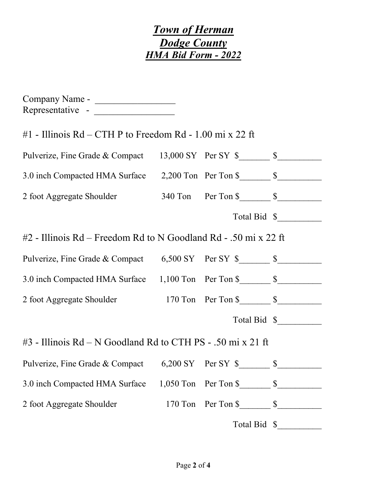| #1 - Illinois $Rd - CTHP$ to Freedom $Rd - 1.00$ mi x 22 ft                        |                                                                 |                         |
|------------------------------------------------------------------------------------|-----------------------------------------------------------------|-------------------------|
| Pulverize, Fine Grade & Compact 13,000 SY Per SY \$_______________________________ |                                                                 |                         |
| 3.0 inch Compacted HMA Surface 2,200 Ton Per Ton \$_______________________________ |                                                                 |                         |
|                                                                                    |                                                                 |                         |
|                                                                                    |                                                                 | Total Bid \$            |
| #2 - Illinois Rd – Freedom Rd to N Goodland Rd - .50 mi x 22 ft                    |                                                                 |                         |
| Pulverize, Fine Grade & Compact 6,500 SY Per SY \$________________________________ |                                                                 |                         |
| 3.0 inch Compacted HMA Surface 1,100 Ton Per Ton \$______________________________  |                                                                 |                         |
|                                                                                    |                                                                 |                         |
|                                                                                    |                                                                 | Total Bid \$            |
| #3 - Illinois Rd – N Goodland Rd to CTH PS - .50 mi x 21 ft                        |                                                                 |                         |
| Pulverize, Fine Grade & Compact 6,200 SY Per SY \$ \$                              |                                                                 |                         |
| 3.0 inch Compacted HMA Surface 1,050 Ton Per Ton \$_______________________________ |                                                                 |                         |
| 2 foot Aggregate Shoulder                                                          | 170 Ton Per Ton $\frac{\gamma}{\gamma}$ $\frac{\gamma}{\gamma}$ |                         |
|                                                                                    |                                                                 | Total Bid $\frac{1}{2}$ |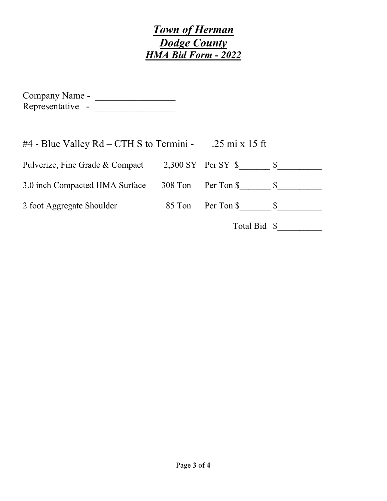| Company Name -   |  |
|------------------|--|
| Representative - |  |

| $#4$ - Blue Valley Rd – CTH S to Termini - .25 mi x 15 ft |         |                      |  |
|-----------------------------------------------------------|---------|----------------------|--|
| Pulverize, Fine Grade & Compact                           |         | $2,300$ SY Per SY \$ |  |
| 3.0 inch Compacted HMA Surface                            | 308 Ton | Per Ton \$           |  |
| 2 foot Aggregate Shoulder                                 | 85 Ton  | Per Ton \$           |  |
|                                                           |         | Total Bid \$         |  |